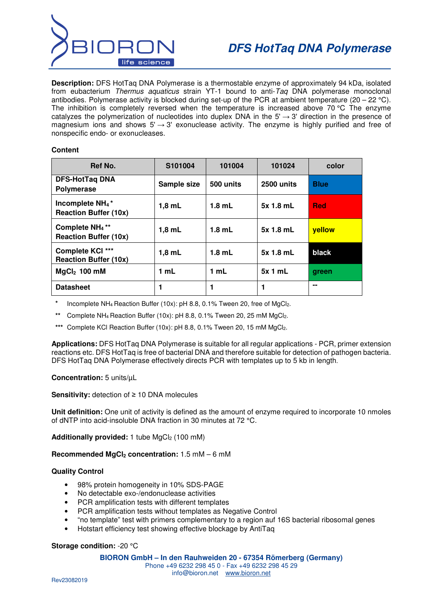

**Description:** DFS HotTaq DNA Polymerase is a thermostable enzyme of approximately 94 kDa, isolated from eubacterium Thermus aquaticus strain YT-1 bound to anti-Taq DNA polymerase monoclonal antibodies. Polymerase activity is blocked during set-up of the PCR at ambient temperature (20 – 22 °C). The inhibition is completely reversed when the temperature is increased above 70 °C The enzyme catalyzes the polymerization of nucleotides into duplex DNA in the  $5' \rightarrow 3'$  direction in the presence of magnesium ions and shows  $5' \rightarrow 3'$  exonuclease activity. The enzyme is highly purified and free of nonspecific endo- or exonucleases.

### **Content**

| Ref No.                                                                 | S101004     | 101004    | 101024     | color       |  |
|-------------------------------------------------------------------------|-------------|-----------|------------|-------------|--|
| <b>DFS-HotTaq DNA</b><br><b>Polymerase</b>                              | Sample size | 500 units | 2500 units | <b>Blue</b> |  |
| Incomplete NH <sub>4</sub> <sup>*</sup><br><b>Reaction Buffer (10x)</b> | $1,8$ mL    | $1.8$ mL  | 5x 1.8 mL  | <b>Red</b>  |  |
| Complete NH <sub>4</sub> <sup>**</sup><br><b>Reaction Buffer (10x)</b>  | $1,8$ mL    | $1.8$ mL  | 5x 1.8 mL  | vellow      |  |
| Complete KCI ***<br><b>Reaction Buffer (10x)</b>                        | $1,8$ mL    | $1.8$ mL  | 5x 1.8 mL  | black       |  |
| $MqCl2$ 100 mM                                                          | 1 mL        | 1 mL      | 5x1mL      | green       |  |
| <b>Datasheet</b>                                                        | 1           | 1         |            | --          |  |

Incomplete NH<sub>4</sub> Reaction Buffer (10x): pH 8.8, 0.1% Tween 20, free of MgCl<sub>2</sub>.

**\*\*** Complete NH4 Reaction Buffer (10x): pH 8.8, 0.1% Tween 20, 25 mM MgCl2.

\*\*\* Complete KCl Reaction Buffer (10x): pH 8.8, 0.1% Tween 20, 15 mM MgCl<sub>2</sub>.

**Applications:** DFS HotTaq DNA Polymerase is suitable for all regular applications - PCR, primer extension reactions etc. DFS HotTaq is free of bacterial DNA and therefore suitable for detection of pathogen bacteria. DFS HotTaq DNA Polymerase effectively directs PCR with templates up to 5 kb in length.

# **Concentration:** 5 units/µL

**Sensitivity:** detection of ≥ 10 DNA molecules

**Unit definition:** One unit of activity is defined as the amount of enzyme required to incorporate 10 nmoles of dNTP into acid-insoluble DNA fraction in 30 minutes at 72 °C.

Additionally provided: 1 tube MgCl<sub>2</sub> (100 mM)

# **Recommended MgCl2 concentration:** 1.5 mM – 6 mM

#### **Quality Control**

- 98% protein homogeneity in 10% SDS-PAGE
- No detectable exo-/endonuclease activities
- PCR amplification tests with different templates
- PCR amplification tests without templates as Negative Control
- "no template" test with primers complementary to a region auf 16S bacterial ribosomal genes
- Hotstart efficiency test showing effective blockage by AntiTaq

# **Storage condition:** -20 °C

#### **BIORON GmbH – In den Rauhweiden 20 - 67354 Römerberg (Germany)**